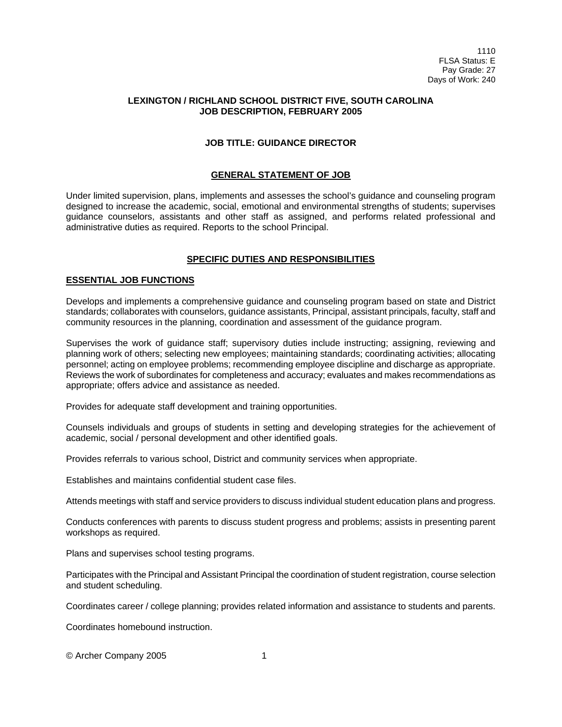# **LEXINGTON / RICHLAND SCHOOL DISTRICT FIVE, SOUTH CAROLINA JOB DESCRIPTION, FEBRUARY 2005**

# **JOB TITLE: GUIDANCE DIRECTOR**

### **GENERAL STATEMENT OF JOB**

Under limited supervision, plans, implements and assesses the school's guidance and counseling program designed to increase the academic, social, emotional and environmental strengths of students; supervises guidance counselors, assistants and other staff as assigned, and performs related professional and administrative duties as required. Reports to the school Principal.

### **SPECIFIC DUTIES AND RESPONSIBILITIES**

### **ESSENTIAL JOB FUNCTIONS**

Develops and implements a comprehensive guidance and counseling program based on state and District standards; collaborates with counselors, guidance assistants, Principal, assistant principals, faculty, staff and community resources in the planning, coordination and assessment of the guidance program.

Supervises the work of guidance staff; supervisory duties include instructing; assigning, reviewing and planning work of others; selecting new employees; maintaining standards; coordinating activities; allocating personnel; acting on employee problems; recommending employee discipline and discharge as appropriate. Reviews the work of subordinates for completeness and accuracy; evaluates and makes recommendations as appropriate; offers advice and assistance as needed.

Provides for adequate staff development and training opportunities.

Counsels individuals and groups of students in setting and developing strategies for the achievement of academic, social / personal development and other identified goals.

Provides referrals to various school, District and community services when appropriate.

Establishes and maintains confidential student case files.

Attends meetings with staff and service providers to discuss individual student education plans and progress.

Conducts conferences with parents to discuss student progress and problems; assists in presenting parent workshops as required.

Plans and supervises school testing programs.

Participates with the Principal and Assistant Principal the coordination of student registration, course selection and student scheduling.

Coordinates career / college planning; provides related information and assistance to students and parents.

Coordinates homebound instruction.

© Archer Company 2005 1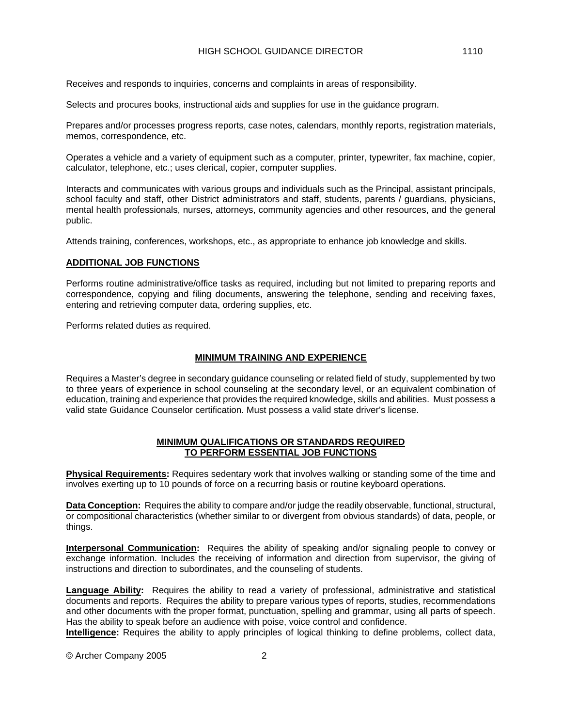Receives and responds to inquiries, concerns and complaints in areas of responsibility.

Selects and procures books, instructional aids and supplies for use in the guidance program.

Prepares and/or processes progress reports, case notes, calendars, monthly reports, registration materials, memos, correspondence, etc.

Operates a vehicle and a variety of equipment such as a computer, printer, typewriter, fax machine, copier, calculator, telephone, etc.; uses clerical, copier, computer supplies.

Interacts and communicates with various groups and individuals such as the Principal, assistant principals, school faculty and staff, other District administrators and staff, students, parents / guardians, physicians, mental health professionals, nurses, attorneys, community agencies and other resources, and the general public.

Attends training, conferences, workshops, etc., as appropriate to enhance job knowledge and skills.

# **ADDITIONAL JOB FUNCTIONS**

Performs routine administrative/office tasks as required, including but not limited to preparing reports and correspondence, copying and filing documents, answering the telephone, sending and receiving faxes, entering and retrieving computer data, ordering supplies, etc.

Performs related duties as required.

### **MINIMUM TRAINING AND EXPERIENCE**

Requires a Master's degree in secondary guidance counseling or related field of study, supplemented by two to three years of experience in school counseling at the secondary level, or an equivalent combination of education, training and experience that provides the required knowledge, skills and abilities. Must possess a valid state Guidance Counselor certification. Must possess a valid state driver's license.

### **MINIMUM QUALIFICATIONS OR STANDARDS REQUIRED TO PERFORM ESSENTIAL JOB FUNCTIONS**

**Physical Requirements:** Requires sedentary work that involves walking or standing some of the time and involves exerting up to 10 pounds of force on a recurring basis or routine keyboard operations.

**Data Conception:** Requires the ability to compare and/or judge the readily observable, functional, structural, or compositional characteristics (whether similar to or divergent from obvious standards) of data, people, or things.

**Interpersonal Communication:** Requires the ability of speaking and/or signaling people to convey or exchange information. Includes the receiving of information and direction from supervisor, the giving of instructions and direction to subordinates, and the counseling of students.

**Language Ability:** Requires the ability to read a variety of professional, administrative and statistical documents and reports. Requires the ability to prepare various types of reports, studies, recommendations and other documents with the proper format, punctuation, spelling and grammar, using all parts of speech. Has the ability to speak before an audience with poise, voice control and confidence.

**Intelligence:** Requires the ability to apply principles of logical thinking to define problems, collect data,

© Archer Company 2005 2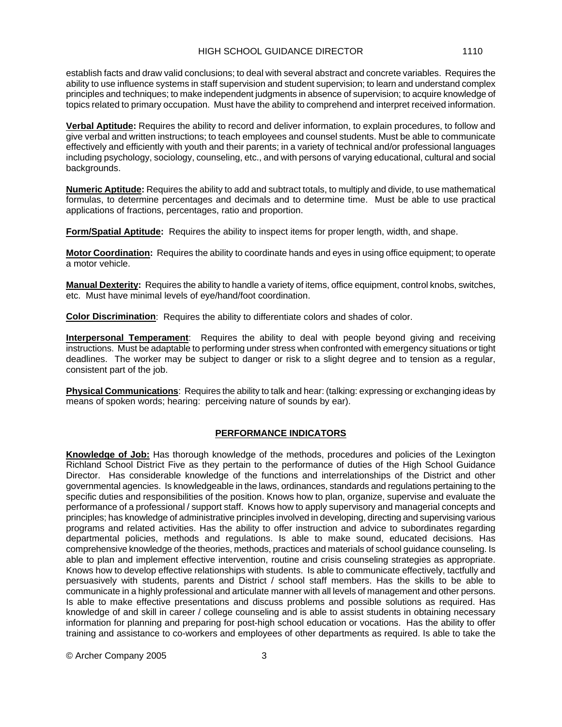establish facts and draw valid conclusions; to deal with several abstract and concrete variables. Requires the ability to use influence systems in staff supervision and student supervision; to learn and understand complex principles and techniques; to make independent judgments in absence of supervision; to acquire knowledge of topics related to primary occupation. Must have the ability to comprehend and interpret received information.

**Verbal Aptitude:** Requires the ability to record and deliver information, to explain procedures, to follow and give verbal and written instructions; to teach employees and counsel students. Must be able to communicate effectively and efficiently with youth and their parents; in a variety of technical and/or professional languages including psychology, sociology, counseling, etc., and with persons of varying educational, cultural and social backgrounds.

**Numeric Aptitude:** Requires the ability to add and subtract totals, to multiply and divide, to use mathematical formulas, to determine percentages and decimals and to determine time. Must be able to use practical applications of fractions, percentages, ratio and proportion.

**Form/Spatial Aptitude:** Requires the ability to inspect items for proper length, width, and shape.

**Motor Coordination:** Requires the ability to coordinate hands and eyes in using office equipment; to operate a motor vehicle.

**Manual Dexterity:** Requires the ability to handle a variety of items, office equipment, control knobs, switches, etc. Must have minimal levels of eye/hand/foot coordination.

**Color Discrimination**: Requires the ability to differentiate colors and shades of color.

**Interpersonal Temperament**: Requires the ability to deal with people beyond giving and receiving instructions. Must be adaptable to performing under stress when confronted with emergency situations or tight deadlines. The worker may be subject to danger or risk to a slight degree and to tension as a regular, consistent part of the job.

**Physical Communications**: Requires the ability to talk and hear: (talking: expressing or exchanging ideas by means of spoken words; hearing: perceiving nature of sounds by ear).

#### **PERFORMANCE INDICATORS**

**Knowledge of Job:** Has thorough knowledge of the methods, procedures and policies of the Lexington Richland School District Five as they pertain to the performance of duties of the High School Guidance Director. Has considerable knowledge of the functions and interrelationships of the District and other governmental agencies. Is knowledgeable in the laws, ordinances, standards and regulations pertaining to the specific duties and responsibilities of the position. Knows how to plan, organize, supervise and evaluate the performance of a professional / support staff. Knows how to apply supervisory and managerial concepts and principles; has knowledge of administrative principles involved in developing, directing and supervising various programs and related activities. Has the ability to offer instruction and advice to subordinates regarding departmental policies, methods and regulations. Is able to make sound, educated decisions. Has comprehensive knowledge of the theories, methods, practices and materials of school guidance counseling. Is able to plan and implement effective intervention, routine and crisis counseling strategies as appropriate. Knows how to develop effective relationships with students. Is able to communicate effectively, tactfully and persuasively with students, parents and District / school staff members. Has the skills to be able to communicate in a highly professional and articulate manner with all levels of management and other persons. Is able to make effective presentations and discuss problems and possible solutions as required. Has knowledge of and skill in career / college counseling and is able to assist students in obtaining necessary information for planning and preparing for post-high school education or vocations. Has the ability to offer training and assistance to co-workers and employees of other departments as required. Is able to take the

© Archer Company 2005 3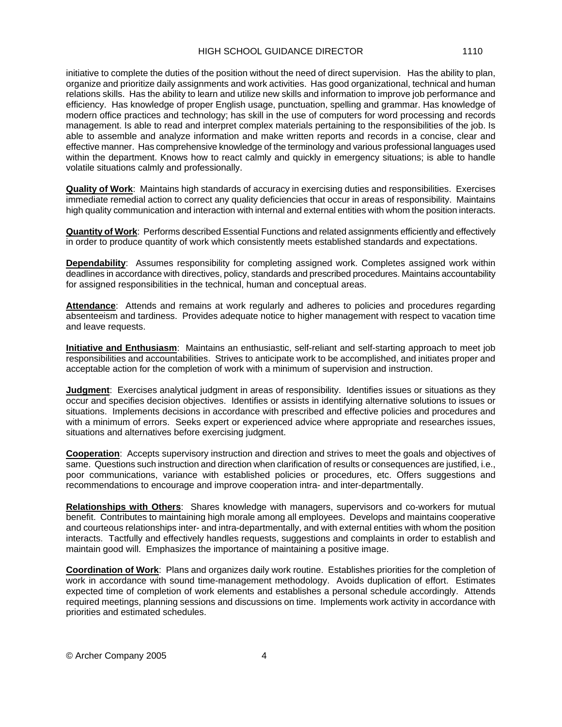initiative to complete the duties of the position without the need of direct supervision. Has the ability to plan, organize and prioritize daily assignments and work activities. Has good organizational, technical and human relations skills. Has the ability to learn and utilize new skills and information to improve job performance and efficiency. Has knowledge of proper English usage, punctuation, spelling and grammar. Has knowledge of modern office practices and technology; has skill in the use of computers for word processing and records management. Is able to read and interpret complex materials pertaining to the responsibilities of the job. Is able to assemble and analyze information and make written reports and records in a concise, clear and effective manner. Has comprehensive knowledge of the terminology and various professional languages used within the department. Knows how to react calmly and quickly in emergency situations; is able to handle volatile situations calmly and professionally.

**Quality of Work**: Maintains high standards of accuracy in exercising duties and responsibilities. Exercises immediate remedial action to correct any quality deficiencies that occur in areas of responsibility. Maintains high quality communication and interaction with internal and external entities with whom the position interacts.

**Quantity of Work**: Performs described Essential Functions and related assignments efficiently and effectively in order to produce quantity of work which consistently meets established standards and expectations.

**Dependability**: Assumes responsibility for completing assigned work. Completes assigned work within deadlines in accordance with directives, policy, standards and prescribed procedures. Maintains accountability for assigned responsibilities in the technical, human and conceptual areas.

Attendance: Attends and remains at work regularly and adheres to policies and procedures regarding absenteeism and tardiness. Provides adequate notice to higher management with respect to vacation time and leave requests.

**Initiative and Enthusiasm**: Maintains an enthusiastic, self-reliant and self-starting approach to meet job responsibilities and accountabilities. Strives to anticipate work to be accomplished, and initiates proper and acceptable action for the completion of work with a minimum of supervision and instruction.

**Judgment**: Exercises analytical judgment in areas of responsibility. Identifies issues or situations as they occur and specifies decision objectives. Identifies or assists in identifying alternative solutions to issues or situations. Implements decisions in accordance with prescribed and effective policies and procedures and with a minimum of errors. Seeks expert or experienced advice where appropriate and researches issues, situations and alternatives before exercising judgment.

**Cooperation**: Accepts supervisory instruction and direction and strives to meet the goals and objectives of same. Questions such instruction and direction when clarification of results or consequences are justified, i.e., poor communications, variance with established policies or procedures, etc. Offers suggestions and recommendations to encourage and improve cooperation intra- and inter-departmentally.

**Relationships with Others**: Shares knowledge with managers, supervisors and co-workers for mutual benefit. Contributes to maintaining high morale among all employees. Develops and maintains cooperative and courteous relationships inter- and intra-departmentally, and with external entities with whom the position interacts. Tactfully and effectively handles requests, suggestions and complaints in order to establish and maintain good will. Emphasizes the importance of maintaining a positive image.

**Coordination of Work**: Plans and organizes daily work routine. Establishes priorities for the completion of work in accordance with sound time-management methodology. Avoids duplication of effort. Estimates expected time of completion of work elements and establishes a personal schedule accordingly. Attends required meetings, planning sessions and discussions on time. Implements work activity in accordance with priorities and estimated schedules.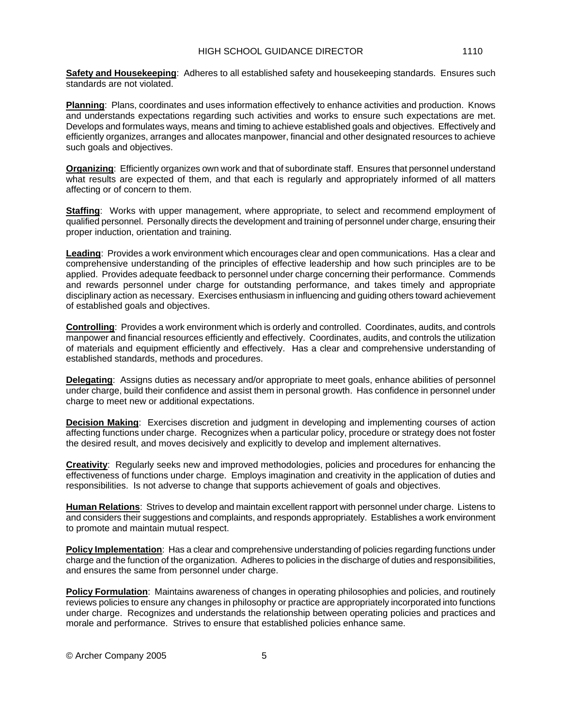**Safety and Housekeeping**: Adheres to all established safety and housekeeping standards. Ensures such standards are not violated.

**Planning**: Plans, coordinates and uses information effectively to enhance activities and production. Knows and understands expectations regarding such activities and works to ensure such expectations are met. Develops and formulates ways, means and timing to achieve established goals and objectives. Effectively and efficiently organizes, arranges and allocates manpower, financial and other designated resources to achieve such goals and objectives.

**Organizing**: Efficiently organizes own work and that of subordinate staff. Ensures that personnel understand what results are expected of them, and that each is regularly and appropriately informed of all matters affecting or of concern to them.

**Staffing**: Works with upper management, where appropriate, to select and recommend employment of qualified personnel. Personally directs the development and training of personnel under charge, ensuring their proper induction, orientation and training.

**Leading**: Provides a work environment which encourages clear and open communications. Has a clear and comprehensive understanding of the principles of effective leadership and how such principles are to be applied. Provides adequate feedback to personnel under charge concerning their performance. Commends and rewards personnel under charge for outstanding performance, and takes timely and appropriate disciplinary action as necessary. Exercises enthusiasm in influencing and guiding others toward achievement of established goals and objectives.

**Controlling**: Provides a work environment which is orderly and controlled. Coordinates, audits, and controls manpower and financial resources efficiently and effectively. Coordinates, audits, and controls the utilization of materials and equipment efficiently and effectively. Has a clear and comprehensive understanding of established standards, methods and procedures.

**Delegating**: Assigns duties as necessary and/or appropriate to meet goals, enhance abilities of personnel under charge, build their confidence and assist them in personal growth. Has confidence in personnel under charge to meet new or additional expectations.

**Decision Making**: Exercises discretion and judgment in developing and implementing courses of action affecting functions under charge. Recognizes when a particular policy, procedure or strategy does not foster the desired result, and moves decisively and explicitly to develop and implement alternatives.

**Creativity**: Regularly seeks new and improved methodologies, policies and procedures for enhancing the effectiveness of functions under charge. Employs imagination and creativity in the application of duties and responsibilities. Is not adverse to change that supports achievement of goals and objectives.

**Human Relations**: Strives to develop and maintain excellent rapport with personnel under charge. Listens to and considers their suggestions and complaints, and responds appropriately. Establishes a work environment to promote and maintain mutual respect.

**Policy Implementation**: Has a clear and comprehensive understanding of policies regarding functions under charge and the function of the organization. Adheres to policies in the discharge of duties and responsibilities, and ensures the same from personnel under charge.

**Policy Formulation**: Maintains awareness of changes in operating philosophies and policies, and routinely reviews policies to ensure any changes in philosophy or practice are appropriately incorporated into functions under charge. Recognizes and understands the relationship between operating policies and practices and morale and performance. Strives to ensure that established policies enhance same.